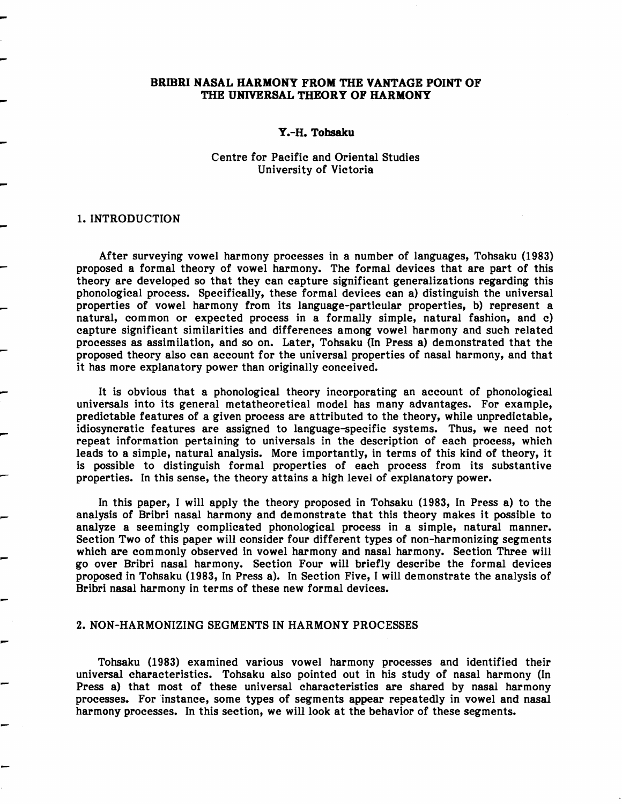## BRIBRI NASAL HARMONY FROM THE VANTAGE POINT OF THE UNIVERSAL THEORY OF HARMONY

### Y.-H. Tohsaku

## Centre for Pacific and Oriental Studies University of Victoria

## 1. INTRODUCTION

After surveying vowel harmony processes in a number of languages, Tohsaku (1983) proposed a formal theory of vowel harmony. The formal devices that are part of this theory are developed so that they can capture significant generalizations regarding this phonological process. Specifically, these formal devices can a) distinguish the universal properties of vowel harmony from its language-particular properties, b) represent a natural, common or expected process in a formally simple, natural fashion, and c) capture significant similarities and differences among vowel harmony and such related processes as assimilation, and so on. Later, Tohsaku (In Press a) demonstrated that the proposed theory also can account for the universal properties of nasal harmony, and that it has more explanatory power than originally conceived.

- It is obvious that a phonological theory incorporating an account of phonological universals into its general metatheoretical model has many advantages. For example, predictable features of a given process are attributed to the theory, while unpredictable, idiosyncratic features are assigned to language-specific systems. Thus, we need not repeat information pertaining to universals in the description of each process, which leads to a simple, natural analysis. More importantly, in terms of this kind of theory, it is possible to distinguish formal properties of each process from its substantive properties. In this sense, the theory attains a high level of explanatory power.

> In this paper, I will apply the theory proposed in Tohsaku (1983, In Press a) to the analysis of Bribri nasal harmony and demonstrate that this theory makes it possible to analyze a seemingly complicated phonological process in a simple, natural manner. Section Two of this paper will consider four different types of non-harmonizing segments which are commonly observed in vowel harmony and nasal harmony. Section Three will go over Bribri nasal harmony. Section Four will briefly describe the formal devices proposed in Tohsaku (1983, In Press a). In Section Five, I will demonstrate the analysis of Bribri nasal harmony in terms of these new formal devices.

### 2. NON-HARMONIZING SEGMENTS IN HARMONY PROCESSES

- Tohsaku (1983) examined various vowel harmony processes and identified their universal Characteristics. Tohsaku also pointed out in his study of nasal harmony (In Press a) that most of these universal characteristics are shared by nasal harmony processes. For 'instance, some types of segments appear repeatedly in vowel and nasal harmony processes. In this section, we will look at the behavior of these segments.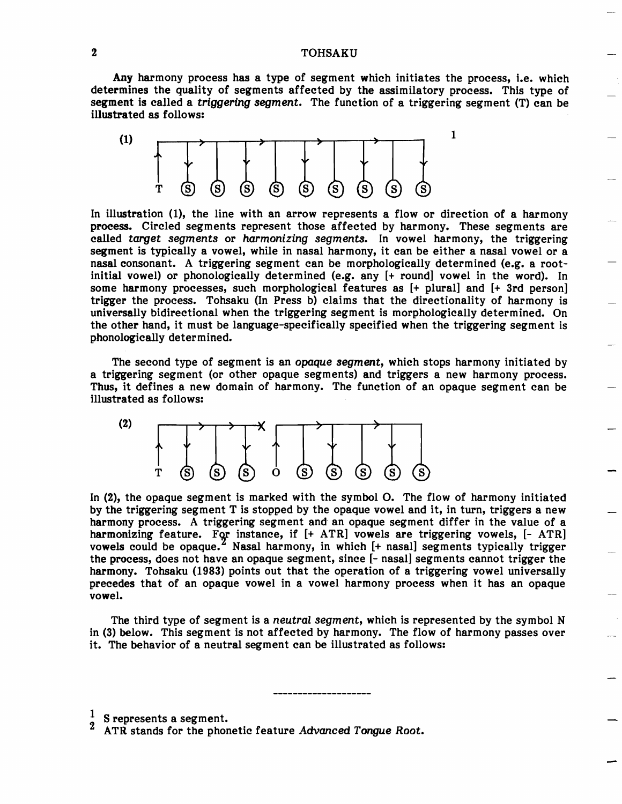## 2 TOHSAKU

Any harmony process has a type of segment which initiates the process, i.e. which determines the quality of segments affected by the assimilatory process. This type of segment is called a *triggering segment.* The function of a triggering segment (T) can be illustrated as follows:



In illustration (1), the line with an arrow represents a flow or direction of a harmony process. Circled segments represent those affected by harmony. These segments are called *target segments* or *harmonizing segments.* In vowel harmony, the triggering segment is typically a vowel, while in nasal harmony, it can be either a nasal vowel or a nasal consonant. A triggering segment can be morphologically determined (e.g. a rootinitial vowel) or phonologically determined (e.g. any  $[+$  round] vowel in the word). In some harmony processes, such morphological features as [+ plural] and [+ 3rd person] trigger the process. Tohsaku (In Press b) claims that the directionality of harmony is universally bidirectional when the triggering segment is morphologically determined. On the other hand, it must be language-specifically specified when the triggering segment is phonologically determined.

The second type of segment is an *opaque segment,* which stops harmony initiated by a triggering segment (or other opaque segments) and triggers a new harmony process. Thus, it defines a new domain of harmony. The function of an opaque segment can be illustrated as follows:



In (2), the opaque segment is marked with the symbol O. The flow of harmony initiated by the triggering segment T is stopped by the opaque vowel and it, in turn, triggers a new harmony process. A triggering segment and an opaque segment differ in the value of a harmonizing feature. For instance, if  $[+ \text{ ATR}]$  vowels are triggering vowels,  $[- \text{ ATR}]$ vowels could be opaque.<sup>2</sup> Nasal harmony, in which  $[+$  nasal] segments typically trigger the process, does not have an opaque segment, since [- nasal] segments cannot trigger the harmony. Tohsaku (1983) points out that the operation of a triggering vowel universally precedes that of an opaque vowel in a vowel harmony process when it has an opaque vowel.

The third type of segment is a *neutral segment,* which is represented by the symbol N in (3) below. This segment is not affected by harmony. The flow of harmony passes over it. The behavior of a neutral segment can be illustrated as follows:

S represents a segment.

ATR stands for the phonetic feature Advanced Tongue Root.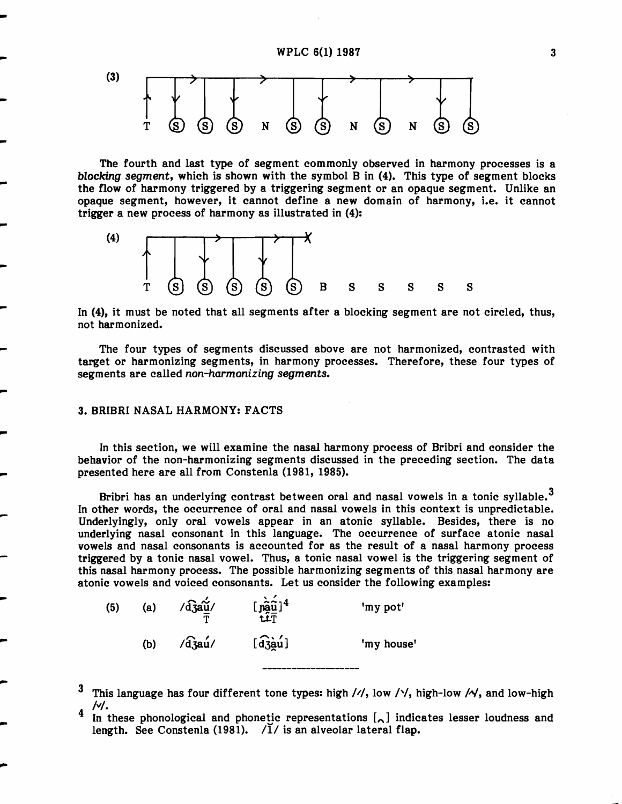

The fourth and last type of segment commonly observed in harmony processes is a blocking segment, which is shown with the symbol B in (4). This type of segment blocks the flow of harmony triggered by a triggering segment or an opaque segment. Unlike an opaque segment, however, it cannot define a new domain of harmony, i.e. it cannot trigger a new process of harmony as illustrated in (4):



In (4), it must be noted that all segments after a blocking segment are not circled, thus, not harmonized.

The four types of segments discussed above are not harmonized, contrasted with target or harmonizing segments, in harmony processes. Therefore, these four types of segments are called non-harmonizing segments.

### 3. BRIBRI NASAL HARMONY: FACTS

...

...

In this section, we will examine the nasal harmony process of Bribri and consider the behavior of the non-harmonizing segments discussed in the preceding section. The data presented here are all from Constenla (1981, 1985).

Bribri has an underlying contrast between oral and nasal vowels in a tonic syllable.<sup>3</sup> In other words, the occurrence of oral and nasal vowels in this context is unpredictable. Underlyingly, only oral vowels appear in an atonic syllable. Besides, there is no underlying nasal consonant in this language. The occurrence of surface atonic nasal vowels and nasal consonants is accounted for as the result of a nasal harmony process triggered by a tonic nasal vowel. Thus, a tonic nasal vowel is the triggering segment of this nasal harmony process. The possible harmonizing segments of this nasal harmony are atonic vowels and voiced consonants. Let us consider the following examples:

| (5) | (a) | $\sqrt{d_3}$ au/<br>m | $[\mathop {{\bf{\hat{pa}}}\nolimits\bf{\hat{\hat u}}{\hat 1}}\nolimits]^4$ | 'my pot'   |
|-----|-----|-----------------------|----------------------------------------------------------------------------|------------|
|     | (b) | $\sqrt{d}$ zau/       | $\widehat{[d3a1]}$                                                         | 'my house' |

- 3 This language has four different tone types: high  $\frac{1}{1}$ , low  $\frac{1}{1}$ , high-low  $\frac{1}{1}$ , and low-high *Ivl.*
- <sup>4</sup> In these phonological and phonetic representations  $\lbrack \wedge \rbrack$  indicates lesser loudness and length. See Constenla (1981).  $\sqrt{1}$  is an alveolar lateral flap.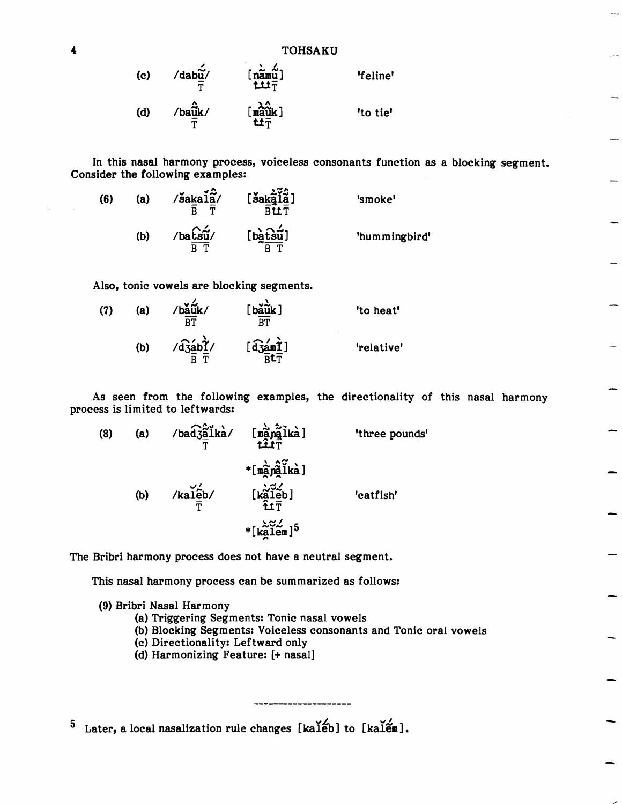| (c) | /dabũ/                 | $\begin{bmatrix} \hat{\mathbf{n}} & \hat{\mathbf{m}} & \hat{\mathbf{m}} \\ \mathbf{m} & \hat{\mathbf{m}} & \hat{\mathbf{m}} \end{bmatrix}$ | 'feline' |  |  |  |
|-----|------------------------|--------------------------------------------------------------------------------------------------------------------------------------------|----------|--|--|--|
| (d) | $/ba\hat{\tilde{u}}k/$ | $\begin{bmatrix} \frac{\lambda}{2} \\ \frac{\lambda}{2} \\ \frac{\lambda}{2} \end{bmatrix}$                                                | 'to tie' |  |  |  |

In this nasal harmony process, voiceless consonants function as a blocking segment. Consider the following examples:

(6) (a) /saka $1a/$  [sak $a/2$ ] 'smoke'  $\overline{B}$   $\overline{T}$   $\overline{B} \overline{L} \overline{T}$ (b)  $/\text{ba} \frac{\hat{\text{bs}}\hat{\text{us}}}{'}$  [batch  $\hat{\text{bs}}\hat{\text{us}}'$ ] 'hummingbird'  $\overline{B}$   $\overline{T}$   $\overline{B}$   $\overline{T}$ 

Also, tonic vowels are blocking segments.

(7) (a) 
$$
/b\frac{d}{d}u
$$
  
\n $\frac{d}{dT}$   $\left[\begin{array}{cc} b\frac{d}{d}u\\ \frac{d}{dT}\end{array}\right]$  'to heat'  
\n(b)  $/d\frac{d}{d}b\frac{d}{d}y$   $\left[\begin{array}{cc} d\frac{d}{d}a m\frac{d}{d} \\ \frac{d}{dr}\frac{d}{d}\end{array}\right]$  'relative'

As seen from the following examples, the directionality of this nasal harmony process is limited to leftwards:

| (8) | (a) | $\frac{1}{\sqrt{2}}$ $\frac{1}{\sqrt{2}}$ $\frac{1}{\sqrt{2}}$ $\frac{1}{\sqrt{2}}$ $\frac{1}{\sqrt{2}}$ $\frac{1}{\sqrt{2}}$ $\frac{1}{\sqrt{2}}$ $\frac{1}{\sqrt{2}}$ $\frac{1}{\sqrt{2}}$ $\frac{1}{\sqrt{2}}$ |                                                                                                                                                                                                    | 'three pounds' |
|-----|-----|-------------------------------------------------------------------------------------------------------------------------------------------------------------------------------------------------------------------|----------------------------------------------------------------------------------------------------------------------------------------------------------------------------------------------------|----------------|
|     | (b) | $\frac{1}{T}$ kal $\frac{2}{T}$                                                                                                                                                                                   | $*$ [manalka]<br>$[\begin{matrix}\n\mathbf{k}\n\widetilde{\mathbf{a}}\n\widetilde{\mathbf{l}}\n\widetilde{\mathbf{e}}\n\widetilde{\mathbf{b}}\n\end{matrix}]$<br>*[ $k\tilde{a}$ lem] <sup>5</sup> | 'catfish'      |

The Bribri harmony process does not have a neutral segment.

This nasal harmony process can be summarized as follows:

(9) Bribri Nasal Harmony

(a) Triggering Segments: Tonic nasal vowels

(b) Blocking Segments: Voiceless consonants and Tonic oral vowels

-

- (c) Directionality: Leftward only
- (d) Harmonizing Feature: [+ nasal]

 $5$  Later, a local nasalization rule changes [kaleb] to [kalen].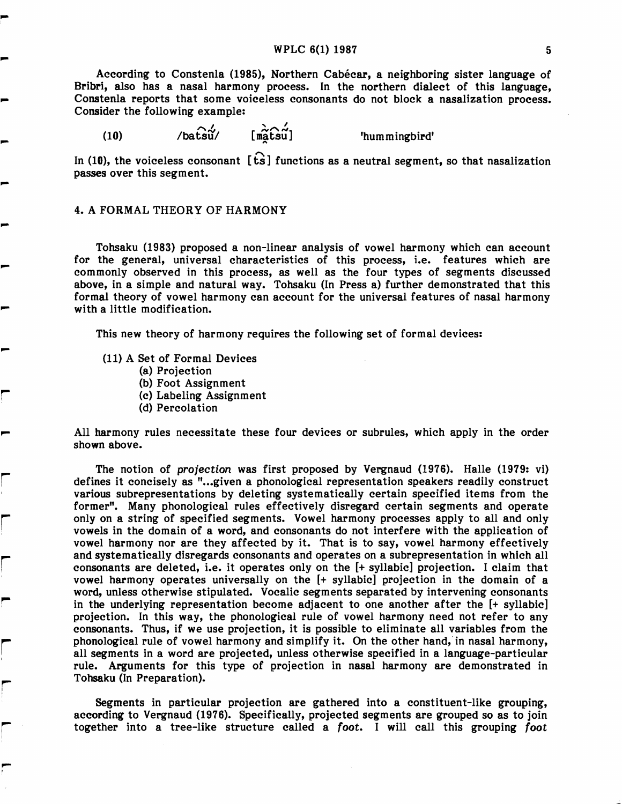# $WPLC 6(1) 1987$  5

According to Constenla (1985), Northern Cabecar, a neighboring sister language of Bribri, also has a nasal harmony process. In the northern dialect of this language, Constenla reports that some voiceless consonants do not block a nasalization process. Consider the following example:

 $(10)$  /batsu/ [matsu] 'hummingbird'

In (10), the voiceless consonant  $[\hat{ts}]$  functions as a neutral segment, so that nasalization passes over this segment.

## 4. A FORMAL THEORY OF HARMONY

...

r

r

r

r  $\overline{a}$ 

r :

r i

,.... I

Tohsaku (1983) proposed a non-linear analysis of vowel harmony which can account for the general, universal characteristics of this process, i.e. features which are commonly observed in this process, as well as the four types of segments discussed above, in a simple and natural way. Tohsaku (In Press a) further demonstrated that this formal theory of vowel harmony can account for the universal features of nasal harmony with a little modification.

This new theory of harmony requires the following set of formal devices:

- (11) A Set of Formal Devices
	- (a) Projection
	- (b) Foot Assignment
	- (c) Labeling Assignment
	- (d) Percolation

All harmony rules necessitate these four devices or subrules, which apply in the order shown above.

The notion of projection was first proposed by Vergnaud (1976). Halle (1979: vi) defines it concisely as "...given a phonological representation speakers readily construct various subrepresentations by deleting systematically certain specified items from the former". Many phonological rules effectively disregard certain segments and operate only on a string of specified segments. Vowel harmony processes apply to all and only vowels in the domain of a word, and consonants do not interfere with the application of vowel harmony nor are they affected by it. That is to say, vowel harmony effectively and systematically disregards consonants and operates on a subrepresentation in which all consonants are deleted, i.e. it operates only on the [+ syllabic] projection. I claim that vowel harmony operates universally on the [+ syllabic] projection in the domain of a word, unless otherwise stipulated. Vocalic segments separated by intervening consonants in the underlying representation become adjacent to one another after the [+ syllabic] projection. In this way, the phonological rule of vowel harmony need not refer to any consonants. Thus, if we use projection, it is possible to eliminate all variables from the phonological rule of vowel harmony and simplify it. On the other hand, in nasal harmony, all segments in a word are projected, unless otherwise specified in a language-particular rule. Arguments for this type of projection in nasal harmony are demonstrated in Tohsaku (In Preparation).

Segments in particular projection are gathered into a constituent-like grouping, according to Vergnaud (1976). Specifically, projected segments are grouped so as to join together into a tree-like structure called a foot. I will call this grouping foot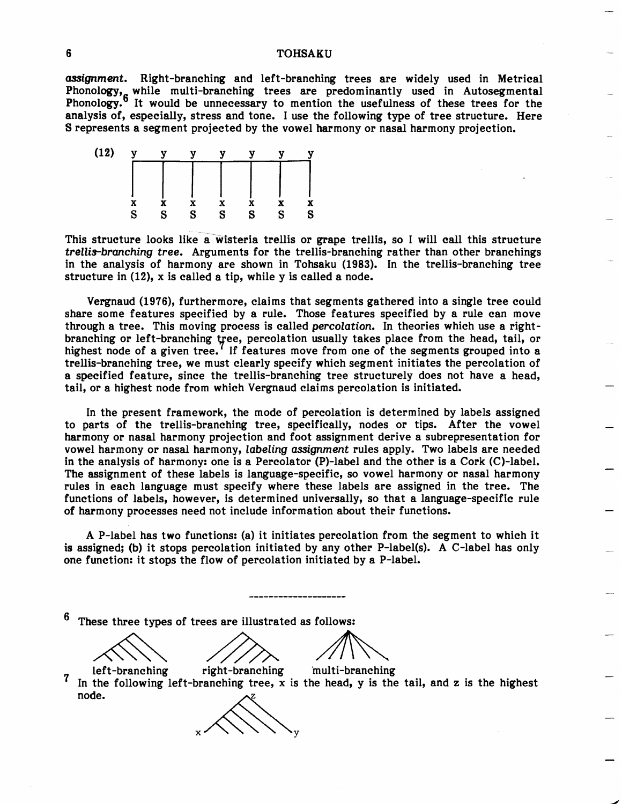#### **TOHSAKU**

*assignment.* Right-branching and left-branching trees are widely used in Metrical Phonology, while multi-branching trees are predominantly used in Autosegmental Phonology.6 It would be unnecessary to mention the usefulness of these trees for the analysis of, especially, stress and tone. I use the following type of tree structure. Here S represents a segment projected by the vowel harmony or nasal harmony projection.



This structure looks like a wisteria trellis or grape trellis, so I will call this structure *trellis-branching tree.* Arguments for the trellis-branching rather than other branchings in the analysis of harmony are shown in Tohsaku (1983). In the trellis-branching tree structure in (12), x is called a tip, while y is called a node.

Vergnaud (1976), furthermore, claims that segments gathered into a single tree could share some features specified by a rule. Those features specified by a rule can move through a tree. This moving process is called *percolation.* In theories which use a rightbranching or left-branching tree, percolation usually takes place from the head, tail, or highest node of a given tree.<sup> $\ell$ </sup> If features move from one of the segments grouped into a trellis-branching tree, we must clearly specify which segment initiates the percolation of a specified feature, since the trellis-branching tree structurely does not have a head, tail, or a highest node from which Vergnaud claims percolation is initiated.

In the present framework, the mode of percolation is determined by labels assigned to parts of the trellis-branching tree, specifically, nodes or tips. After the vowel harmony or nasal harmony projection and foot assignment derive a subrepresentation for vowel harmony or nasal harmony, *labeling assignment* rules apply. Two labels are needed in the analysis of harmony: one is a Percolator (P)-label and the other is a Cork (C)-label. The assignment of these labels is language-specific, so vowel harmony or nasal harmony rules in each language must specify where these labels are assigned in the tree. The functions of labels, however, is determined universally, so that a language-specific rule of harmony processes need not include information about their functions.

A P-label has two functions: (a) it initiates percolation from the segment to which it is assigned; (b) it stops percolation initiated by any other P-label(s). A C-label has only one function: it stops the flow of percolation initiated by a P-label.

These three types of trees are illustrated as follows: ese three types of trees are illustrated as follows:

left-branching right-branching 'multi-branching In the following left-branching tree, x is the head, y is the tail, and z is the highest node.

 $x \wedge \vee \vee \vee y$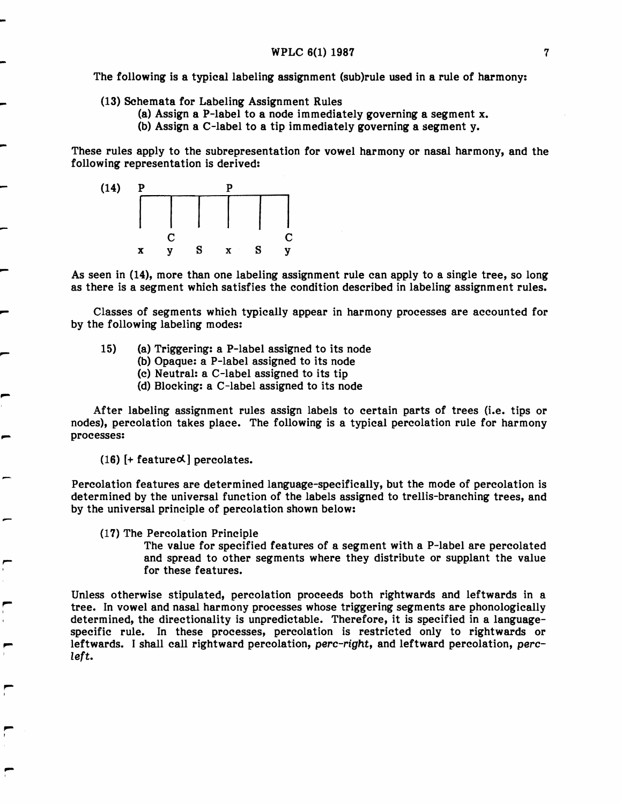The following is a typical labeling assignment (sub)rule used in a rule of harmony:

(13) Schemata for Labeling Assignment Rules

- (a) Assign a P-Iabel to a node immediately governing a segment x.
- (b) Assign a C-Iabel to a tip immediately governing a segment y.

These rules apply to the subrepresentation for vowel harmony or nasal harmony, and the following representation is derived:



As seen in (14), more than one labeling assignment rule can apply to a single tree, so long as there is a segment which satisfies the condition described in labeling assignment rules.

Classes of segments which typically appear in harmony processes are accounted for by the following labeling modes:

- 15) (a) Triggering: a P-Iabel assigned to its node
	- (b) Opaque: a P-Iabel assigned to its node
	- (c) Neutral: a C-Iabel assigned to its tip
	- (d) Blocking: a C-Iabel assigned to its node

After labeling assignment rules assign labels to certain parts of trees (i.e. tips or nodes), percolation takes place. The following is a typical percolation rule for harmony processes:

(16) [+ feature $\alpha$ ] percolates.

Percolation features are determined language-specifically, but the mode of percolation is determined by the universal function of the labels assigned to trellis-branching trees, and by the universal principle of percolation shown below:

(17) The Percolation Principle

"...

"... f

,... t

,...

The value for specified features of a segment with a P-Iabel are percolated and spread to other segments where they distribute or supplant the value for these features.

Unless otherwise stipulated, percolation proceeds both rightwards and leftwards in a tree. In vowel and nasal harmony processes whose triggering segments are phonologically determined, the directionality is unpredictable. Therefore, it is specified in a languagespecific rule. In these processes, percolation is restricted only to rightwards or leftwards. I shall call rightward percolation, perc-right, and leftward percolation, percleft.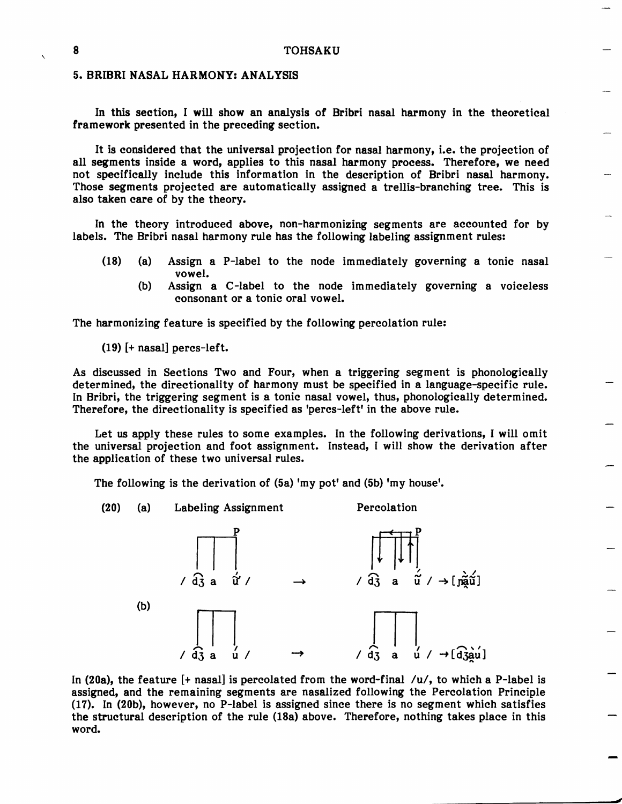### 5. BRIBRI NASAL HARMONY: ANALYSIS

In this section, I will show an analysis of Bribri nasal harmony in the theoretical framework presented in the preceding section.

It is considered that the universal projection for nasal harmony, i.e. the projection of all segments inside a word, applies to this nasal harmony process. Therefore, we need not specifically include this information in the description of Bribri nasal harmony. Those segments projected are automatically assigned a trellis-branching tree. This is also taken care of by the theory.

In the theory introduced above, non-harmonizing segments are accounted for by labels. The Bribri nasal harmony rule has the following labeling assignment rules:

- (18) (a) Assign a P-Iabel to the node immediately governing a tonic nasal vowel.
	- (b) Assign a C-Iabel to the node immediately governing a voiceless consonant or a tonic oral vowel.

The harmonizing feature is specified by the following percolation rule:

(19) [+ nasal] peres-left.

As discussed in Sections Two and Four, when a triggering segment is phonologically determined, the directionality of harmony must be specified in a language-specific rule. In Bribri, the triggering segment is a tonic nasal vowel, thus, phonologically determined. Therefore, the directionality is specified as 'peres-left' in the above rule.

Let us apply these rules to some examples. In the following derivations, I will omit the universal projection and foot assignment. Instead, I will show the derivation after the application of these two universal rules.

The following is the derivation of (Sa) 'my pot' and (5b) 'my house'.



In (20a), the feature  $[+$  nasal] is percolated from the word-final  $/u/$ , to which a P-label is assigned, and the remaining segments are nasalized following the Percolation Principle (17). In (20b), however, no P-Iabel is assigned since there is no segment which satisfies the structural description of the rule (18a) above. Therefore, nothing takes place in this word.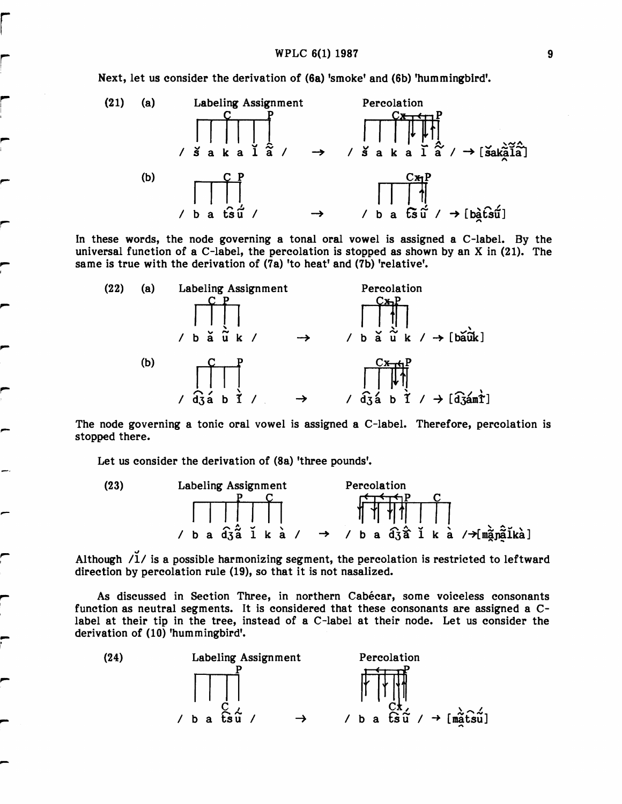

In these words, the node governing a tonal oral vowel is assigned a C-label. By the universal function of a C-label, the percolation is stopped as shown by an X in (21). The same is true with the derivation of (7a) 'to heat' and (7b) 'relative'.



The node governing a tonic oral vowel is assigned a C-label. Therefore, percolation is stopped there.

Let us consider the derivation of (8a) 'three pounds'.

I

r

"..

,...

I

,.. 



Although  $/1/$  is a possible harmonizing segment, the percolation is restricted to leftward direction by percolation rule (19), so that it is not nasalized.

> As discussed in Section Three, in northern Cabécar, some voiceless consonants function as neutral segments. It is considered that these consonants are assigned a Clabel at their tip in the tree, instead of a C-Iabel at their node. Let us consider the derivation of (10) 'hummingbird'.